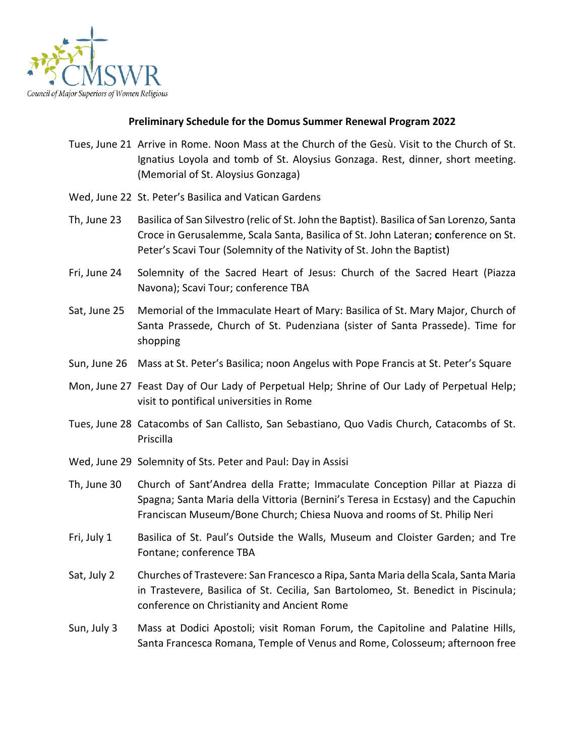

## **Preliminary Schedule for the Domus Summer Renewal Program 2022**

- Tues, June 21 Arrive in Rome. Noon Mass at the Church of the Gesù. Visit to the Church of St. Ignatius Loyola and tomb of St. Aloysius Gonzaga. Rest, dinner, short meeting. (Memorial of St. Aloysius Gonzaga)
- Wed, June 22 St. Peter's Basilica and Vatican Gardens
- Th, June 23 Basilica of San Silvestro (relic of St. John the Baptist). Basilica of San Lorenzo, Santa Croce in Gerusalemme, Scala Santa, Basilica of St. John Lateran; **c**onference on St. Peter's Scavi Tour (Solemnity of the Nativity of St. John the Baptist)
- Fri, June 24 Solemnity of the Sacred Heart of Jesus: Church of the Sacred Heart (Piazza Navona); Scavi Tour; conference TBA
- Sat, June 25 Memorial of the Immaculate Heart of Mary: Basilica of St. Mary Major, Church of Santa Prassede, Church of St. Pudenziana (sister of Santa Prassede). Time for shopping
- Sun, June 26 Mass at St. Peter's Basilica; noon Angelus with Pope Francis at St. Peter's Square
- Mon, June 27 Feast Day of Our Lady of Perpetual Help; Shrine of Our Lady of Perpetual Help; visit to pontifical universities in Rome
- Tues, June 28 Catacombs of San Callisto, San Sebastiano, Quo Vadis Church, Catacombs of St. Priscilla
- Wed, June 29 Solemnity of Sts. Peter and Paul: Day in Assisi
- Th, June 30 Church of Sant'Andrea della Fratte; Immaculate Conception Pillar at Piazza di Spagna; Santa Maria della Vittoria (Bernini's Teresa in Ecstasy) and the Capuchin Franciscan Museum/Bone Church; Chiesa Nuova and rooms of St. Philip Neri
- Fri, July 1 Basilica of St. Paul's Outside the Walls, Museum and Cloister Garden; and Tre Fontane; conference TBA
- Sat, July 2 Churches of Trastevere: San Francesco a Ripa, Santa Maria della Scala, Santa Maria in Trastevere, Basilica of St. Cecilia, San Bartolomeo, St. Benedict in Piscinula; conference on Christianity and Ancient Rome
- Sun, July 3 Mass at Dodici Apostoli; visit Roman Forum, the Capitoline and Palatine Hills, Santa Francesca Romana, Temple of Venus and Rome, Colosseum; afternoon free